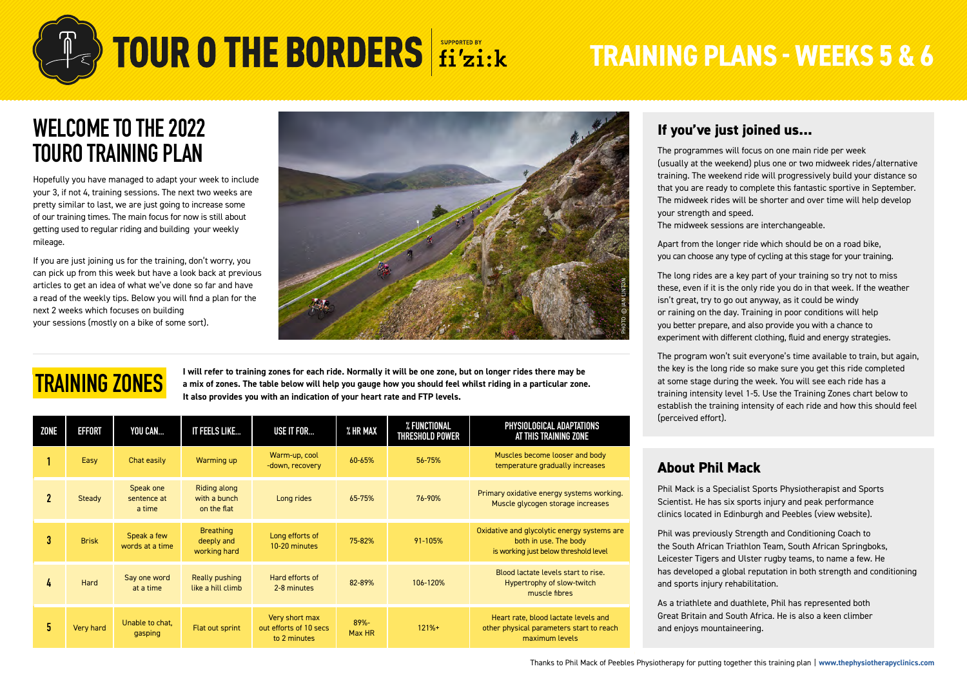

# **TRAINING PLANS - WEEKS 5 & 6**

### **WELCOME TO THE 2022 TOURO TRAINING PLAN**

Hopefully you have managed to adapt your week to include your 3, if not 4, training sessions. The next two weeks are pretty similar to last, we are just going to increase some of our training times. The main focus for now is still about getting used to regular riding and building your weekly mileage.

If you are just joining us for the training, don't worry, you can pick up from this week but have a look back at previous articles to get an idea of what we've done so far and have a read of the weekly tips. Below you will find a plan for the next 2 weeks which focuses on building your sessions (mostly on a bike of some sort).



### **TRAINING ZONES**

**I will refer to training zones for each ride. Normally it will be one zone, but on longer rides there may be a mix of zones. The table below will help you gauge how you should feel whilst riding in a particular zone. It also provides you with an indication of your heart rate and FTP levels.**

| ZONE        | <b>EFFORT</b> | YOU CAN                            | IT FEELS LIKE                                      | USE IT FOR                                               | % HR MAX          | % FUNCTIONAL<br>THRESHOLD POWER | PHYSIOLOGICAL ADAPTATIONS<br>AT THIS TRAINING ZONE                                                            |  |
|-------------|---------------|------------------------------------|----------------------------------------------------|----------------------------------------------------------|-------------------|---------------------------------|---------------------------------------------------------------------------------------------------------------|--|
|             | Easy          | Chat easily                        | Warming up                                         | Warm-up, cool<br>-down, recovery                         | 60-65%            | 56-75%                          | Muscles become looser and body<br>temperature gradually increases                                             |  |
| $\mathbf 2$ | Steady        | Speak one<br>sentence at<br>a time | <b>Riding along</b><br>with a bunch<br>on the flat | Long rides                                               | 65-75%            | 76-90%                          | Primary oxidative energy systems working.<br>Muscle glycogen storage increases                                |  |
| 3           | <b>Brisk</b>  | Speak a few<br>words at a time     | <b>Breathing</b><br>deeply and<br>working hard     | Long efforts of<br>10-20 minutes                         | 75-82%            | 91-105%                         | Oxidative and glycolytic energy systems are<br>both in use. The body<br>is working just below threshold level |  |
| 4           | Hard          | Say one word<br>at a time          | Really pushing<br>like a hill climb                | Hard efforts of<br>2-8 minutes                           | 82-89%            | 106-120%                        | Blood lactate levels start to rise.<br>Hypertrophy of slow-twitch<br>muscle fibres                            |  |
| 5.          | Very hard     | Unable to chat.<br>gasping         | Flat out sprint                                    | Very short max<br>out efforts of 10 secs<br>to 2 minutes | $89% -$<br>Max HR | $121% +$                        | Heart rate, blood lactate levels and<br>other physical parameters start to reach<br>maximum levels            |  |

#### **If you've just joined us...**

The programmes will focus on one main ride per week (usually at the weekend) plus one or two midweek rides/alternative training. The weekend ride will progressively build your distance so that you are ready to complete this fantastic sportive in September. The midweek rides will be shorter and over time will help develop your strength and speed.

The midweek sessions are interchangeable.

Apart from the longer ride which should be on a road bike, you can choose any type of cycling at this stage for your training.

The long rides are a key part of your training so try not to miss these, even if it is the only ride you do in that week. If the weather isn't great, try to go out anyway, as it could be windy or raining on the day. Training in poor conditions will help you better prepare, and also provide you with a chance to experiment with different clothing, fluid and energy strategies.

The program won't suit everyone's time available to train, but again, the key is the long ride so make sure you get this ride completed at some stage during the week. You will see each ride has a training intensity level 1-5. Use the Training Zones chart below to establish the training intensity of each ride and how this should feel (perceived effort).

#### **About Phil Mack**

Phil Mack is a Specialist Sports Physiotherapist and Sports Scientist. He has six sports injury and peak performance clinics located in Edinburgh and Peebles ([view website\)](https://thephysiotherapyclinics.com/).

Phil was previously Strength and Conditioning Coach to the South African Triathlon Team, South African Springboks, Leicester Tigers and Ulster rugby teams, to name a few. He has developed a global reputation in both strength and conditioning and sports injury rehabilitation.

As a triathlete and duathlete, Phil has represented both Great Britain and South Africa. He is also a keen climber and enjoys mountaineering.